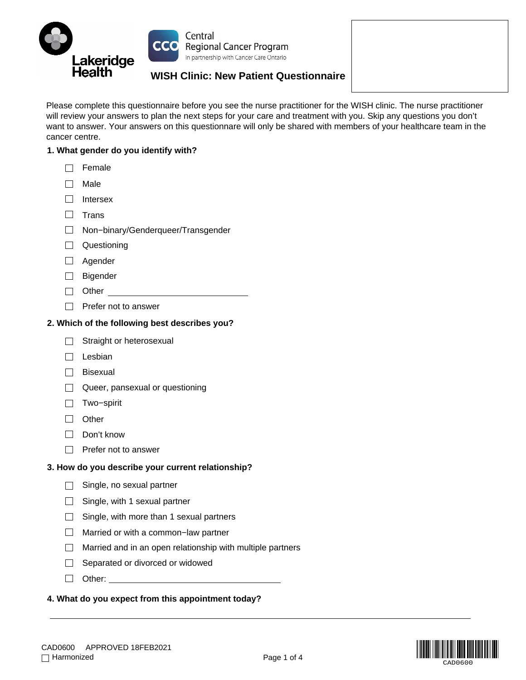

Please complete this questionnaire before you see the nurse practitioner for the WISH clinic. The nurse practitioner will review your answers to plan the next steps for your care and treatment with you. Skip any questions you don't want to answer. Your answers on this questionnare will only be shared with members of your healthcare team in the cancer centre.

## **1. What gender do you identify with?**

- $\Box$  Female
- $\Box$  Male
- $\Box$  Intersex
- $\Box$  Trans
- Non−binary/Genderqueer/Transgender
- **Questioning**
- □ Agender
- □ Bigender
- □ Other
- $\Box$  Prefer not to answer

#### **2. Which of the following best describes you?**

- $\Box$  Straight or heterosexual
- $\Box$  Lesbian
- $\Box$  Bisexual
- Queer, pansexual or questioning
- Two−spirit
- **D** Other
- Don't know
- $\Box$  Prefer not to answer

#### **3. How do you describe your current relationship?**

- $\Box$  Single, no sexual partner
- $\Box$  Single, with 1 sexual partner
- $\Box$  Single, with more than 1 sexual partners
- Married or with a common−law partner
- $\Box$  Married and in an open relationship with multiple partners
- $\Box$  Separated or divorced or widowed
- □ Other: with the control of the control of the control of the control of the control of the control of the control of the control of the control of the control of the control of the control of the control of the control

#### **4. What do you expect from this appointment today?**

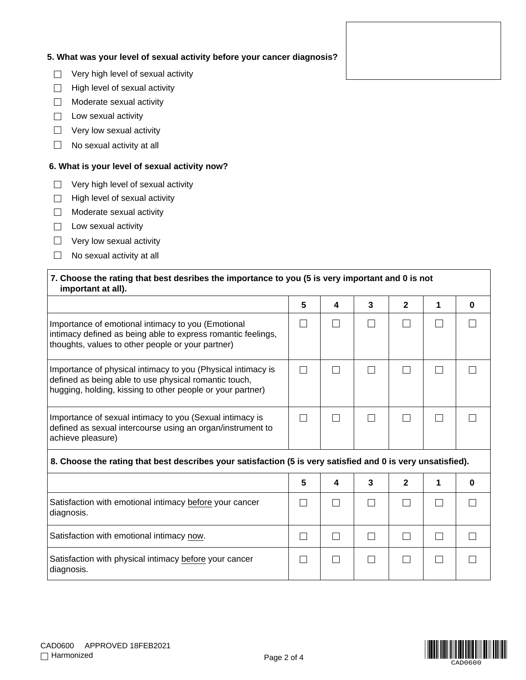# **5. What was your level of sexual activity before your cancer diagnosis?**

- $\mathcal{L}_{\mathcal{A}}$ Very high level of sexual activity
- $\overline{\phantom{a}}$ High level of sexual activity
- $\Box$ Moderate sexual activity
- $\Box$  Low sexual activity
- $\Box$  Very low sexual activity
- $\Box$ No sexual activity at all

## **6. What is your level of sexual activity now?**

- Very high level of sexual activity  $\Box$
- High level of sexual activity  $\Box$
- $\Box$ Moderate sexual activity
- $\Box$  Low sexual activity
- $\Box$  Very low sexual activity
- $\Box$  No sexual activity at all

# **7. Choose the rating that best desribes the importance to you (5 is very important and 0 is not important at all).**

|                                                                                                                                                                                     | 5 | Δ | 3 | 2 |  |
|-------------------------------------------------------------------------------------------------------------------------------------------------------------------------------------|---|---|---|---|--|
| Importance of emotional intimacy to you (Emotional<br>intimacy defined as being able to express romantic feelings,<br>thoughts, values to other people or your partner)             |   |   |   |   |  |
| Importance of physical intimacy to you (Physical intimacy is<br>defined as being able to use physical romantic touch,<br>hugging, holding, kissing to other people or your partner) |   |   |   |   |  |
| Importance of sexual intimacy to you (Sexual intimacy is<br>defined as sexual intercourse using an organ/instrument to<br>achieve pleasure)                                         |   |   |   |   |  |

# **8. Choose the rating that best describes your satisfaction (5 is very satisfied and 0 is very unsatisfied).**

|                                                                       | 5 | 4 | 3 | 2 |  |
|-----------------------------------------------------------------------|---|---|---|---|--|
| Satisfaction with emotional intimacy before your cancer<br>diagnosis. |   |   |   |   |  |
| Satisfaction with emotional intimacy now.                             |   |   |   |   |  |
| Satisfaction with physical intimacy before your cancer<br>diagnosis.  |   |   |   |   |  |

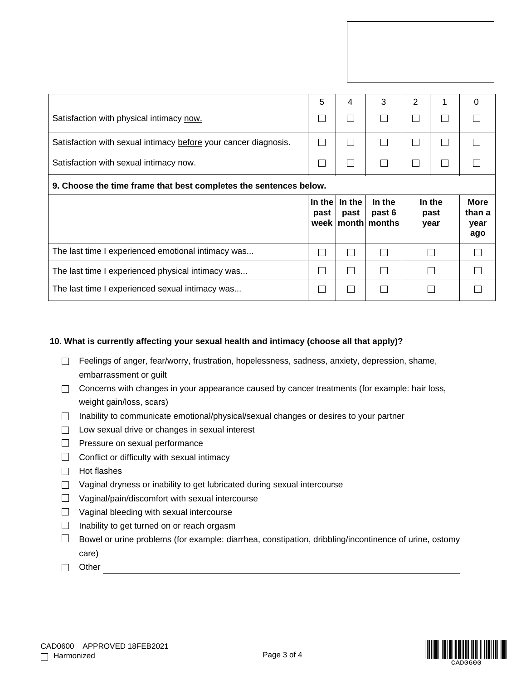|                                                                   | 5              | 4              | 3                                             | $\overline{2}$ | 1                      | 0                                    |  |  |
|-------------------------------------------------------------------|----------------|----------------|-----------------------------------------------|----------------|------------------------|--------------------------------------|--|--|
| Satisfaction with physical intimacy now.                          | L.             |                |                                               |                |                        |                                      |  |  |
| Satisfaction with sexual intimacy before your cancer diagnosis.   | I.             |                |                                               |                |                        |                                      |  |  |
| Satisfaction with sexual intimacy now.                            | e a            |                |                                               |                |                        |                                      |  |  |
| 9. Choose the time frame that best completes the sentences below. |                |                |                                               |                |                        |                                      |  |  |
|                                                                   |                |                |                                               |                |                        |                                      |  |  |
|                                                                   | In the<br>past | In the<br>past | In the<br>past 6<br>week $ $ month $ $ months |                | In the<br>past<br>year | <b>More</b><br>than a<br>year<br>ago |  |  |
| The last time I experienced emotional intimacy was                | $\mathbf{L}$   |                |                                               |                |                        |                                      |  |  |
| The last time I experienced physical intimacy was                 | e a            |                |                                               |                |                        |                                      |  |  |

## **10. What is currently affecting your sexual health and intimacy (choose all that apply)?**

- $\Box$  Feelings of anger, fear/worry, frustration, hopelessness, sadness, anxiety, depression, shame, embarrassment or guilt
- $\Box$  Concerns with changes in your appearance caused by cancer treatments (for example: hair loss, weight gain/loss, scars)
- $\Box$  Inability to communicate emotional/physical/sexual changes or desires to your partner
- $\Box$  Low sexual drive or changes in sexual interest
- $\Box$  Pressure on sexual performance
- $\Box$  Conflict or difficulty with sexual intimacy
- $\Box$  Hot flashes
- $\Box$  Vaginal dryness or inability to get lubricated during sexual intercourse
- $\Box$  Vaginal/pain/discomfort with sexual intercourse
- $\Box$  Vaginal bleeding with sexual intercourse
- $\Box$  Inability to get turned on or reach orgasm
- $\Box$  Bowel or urine problems (for example: diarrhea, constipation, dribbling/incontinence of urine, ostomy care)
- □ Other